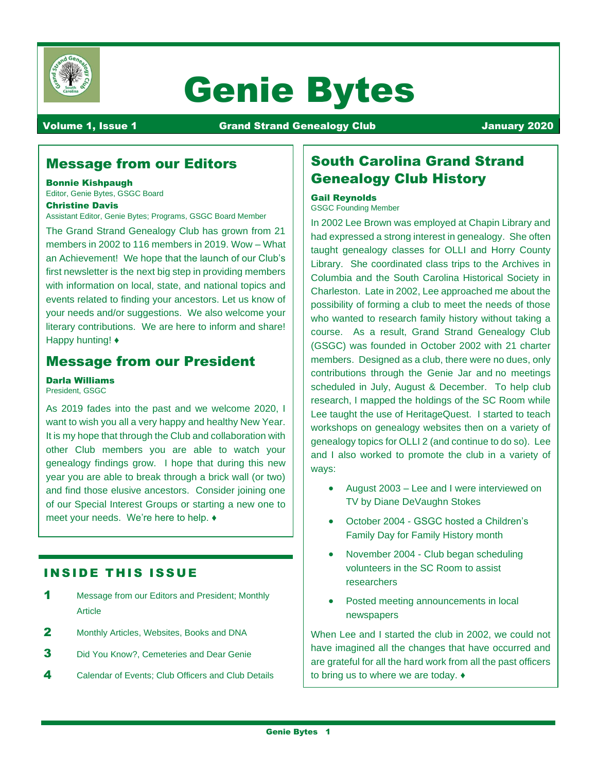

# Genie Bytes

Volume 1, Issue 1 **Communist Communist Communist Communist Communist Communist Communist Communist Communist Co** 

## Message from our Editors

#### Bonnie Kishpaugh

Editor, Genie Bytes, GSGC Board

#### Christine Davis

Assistant Editor, Genie Bytes; Programs, GSGC Board Member

The Grand Strand Genealogy Club has grown from 21 members in 2002 to 116 members in 2019. Wow – What an Achievement! We hope that the launch of our Club's first newsletter is the next big step in providing members with information on local, state, and national topics and events related to finding your ancestors. Let us know of your needs and/or suggestions. We also welcome your literary contributions. We are here to inform and share! Happy hunting! ♦

## Message from our President

#### Darla Williams

President, GSGC

As 2019 fades into the past and we welcome 2020, I want to wish you all a very happy and healthy New Year. It is my hope that through the Club and collaboration with other Club members you are able to watch your genealogy findings grow. I hope that during this new year you are able to break through a brick wall (or two) and find those elusive ancestors. Consider joining one of our Special Interest Groups or starting a new one to meet your needs. We're here to help. ♦

## **INSIDE THIS ISSUE**

- 1 Message from our Editors and President; Monthly Article
- 2 Monthly Articles, Websites, Books and DNA
- **3** Did You Know?, Cemeteries and Dear Genie
- 4 Calendar of Events: Club Officers and Club Details

## South Carolina Grand Strand Genealogy Club History

#### Gail Reynolds

GSGC Founding Member

In 2002 Lee Brown was employed at Chapin Library and had expressed a strong interest in genealogy. She often taught genealogy classes for OLLI and Horry County Library. She coordinated class trips to the Archives in Columbia and the South Carolina Historical Society in Charleston. Late in 2002, Lee approached me about the possibility of forming a club to meet the needs of those who wanted to research family history without taking a course. As a result, Grand Strand Genealogy Club (GSGC) was founded in October 2002 with 21 charter members. Designed as a club, there were no dues, only contributions through the Genie Jar and no meetings scheduled in July, August & December. To help club research, I mapped the holdings of the SC Room while Lee taught the use of HeritageQuest. I started to teach workshops on genealogy websites then on a variety of genealogy topics for OLLI 2 (and continue to do so). Lee and I also worked to promote the club in a variety of ways:

- August 2003 Lee and I were interviewed on TV by Diane DeVaughn Stokes
- October 2004 GSGC hosted a Children's Family Day for Family History month
- November 2004 Club began scheduling volunteers in the SC Room to assist researchers
- Posted meeting announcements in local newspapers

When Lee and I started the club in 2002, we could not have imagined all the changes that have occurred and are grateful for all the hard work from all the past officers to bring us to where we are today. ♦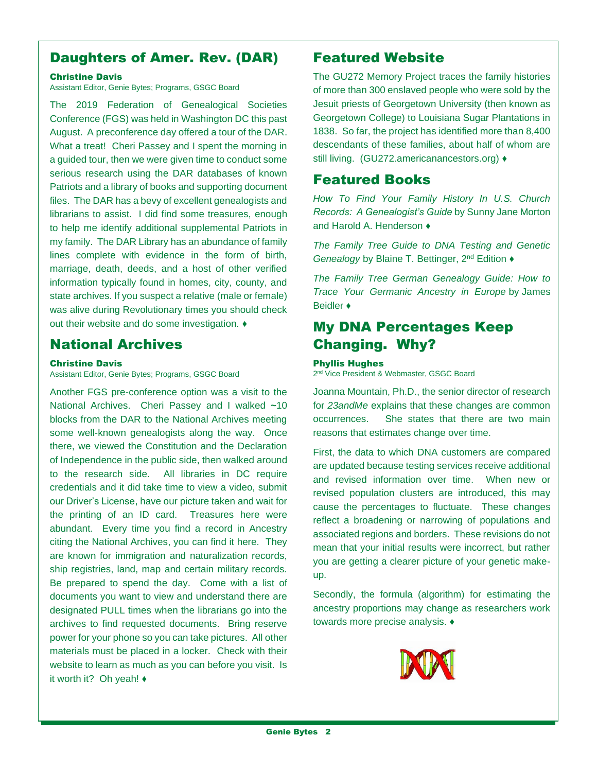## Daughters of Amer. Rev. (DAR)

#### Christine Davis

Assistant Editor, Genie Bytes; Programs, GSGC Board

The 2019 Federation of Genealogical Societies Conference (FGS) was held in Washington DC this past August. A preconference day offered a tour of the DAR. What a treat! Cheri Passey and I spent the morning in a guided tour, then we were given time to conduct some serious research using the DAR databases of known Patriots and a library of books and supporting document files. The DAR has a bevy of excellent genealogists and librarians to assist. I did find some treasures, enough to help me identify additional supplemental Patriots in my family. The DAR Library has an abundance of family lines complete with evidence in the form of birth, marriage, death, deeds, and a host of other verified information typically found in homes, city, county, and state archives. If you suspect a relative (male or female) was alive during Revolutionary times you should check out their website and do some investigation. ♦

## National Archives

#### Christine Davis

Assistant Editor, Genie Bytes; Programs, GSGC Board

Another FGS pre-conference option was a visit to the National Archives. Cheri Passey and I walked **~**10 blocks from the DAR to the National Archives meeting some well-known genealogists along the way. Once there, we viewed the Constitution and the Declaration of Independence in the public side, then walked around to the research side. All libraries in DC require credentials and it did take time to view a video, submit our Driver's License, have our picture taken and wait for the printing of an ID card. Treasures here were abundant. Every time you find a record in Ancestry citing the National Archives, you can find it here. They are known for immigration and naturalization records, ship registries, land, map and certain military records. Be prepared to spend the day. Come with a list of documents you want to view and understand there are designated PULL times when the librarians go into the archives to find requested documents. Bring reserve power for your phone so you can take pictures. All other materials must be placed in a locker. Check with their website to learn as much as you can before you visit. Is it worth it? Oh yeah! ♦

## Featured Website

The GU272 Memory Project traces the family histories of more than 300 enslaved people who were sold by the Jesuit priests of Georgetown University (then known as Georgetown College) to Louisiana Sugar Plantations in 1838. So far, the project has identified more than 8,400 descendants of these families, about half of whom are still living. (GU272.americanancestors.org) ♦

## Featured Books

*How To Find Your Family History In U.S. Church Records: A Genealogist's Guide* by Sunny Jane Morton and Harold A. Henderson  $\triangle$ 

*The Family Tree Guide to DNA Testing and Genetic Genealogy* by Blaine T. Bettinger, 2<sup>nd</sup> Edition ♦

*The Family Tree German Genealogy Guide: How to Trace Your Germanic Ancestry in Europe* by [James](https://www.amazon.com/James-Beidler/e/B00MB1OXMW/ref=dp_byline_cont_ebooks_1)  [Beidler](https://www.amazon.com/James-Beidler/e/B00MB1OXMW/ref=dp_byline_cont_ebooks_1) ♦

## My DNA Percentages Keep Changing. Why?

#### Phyllis Hughes

2<sup>nd</sup> Vice President & Webmaster, GSGC Board

Joanna Mountain, Ph.D., the senior director of research for *23andMe* explains that these changes are common occurrences. She states that there are two main reasons that estimates change over time.

First, the data to which DNA customers are compared are updated because testing services receive additional and revised information over time. When new or revised population clusters are introduced, this may cause the percentages to fluctuate. These changes reflect a broadening or narrowing of populations and associated regions and borders. These revisions do not mean that your initial results were incorrect, but rather you are getting a clearer picture of your genetic makeup.

Secondly, the formula (algorithm) for estimating the ancestry proportions may change as researchers work towards more precise analysis. ♦

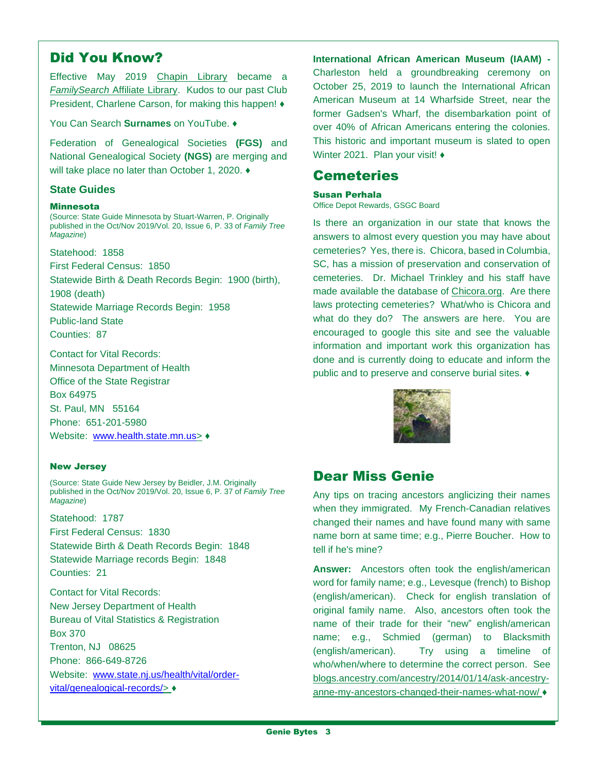## Did You Know?

Effective May 2019 Chapin Library became a *FamilySearch* Affiliate Library. Kudos to our past Club President, Charlene Carson, for making this happen! ♦

You Can Search **Surnames** on YouTube. ♦

Federation of Genealogical Societies **(FGS)** and National Genealogical Society **(NGS)** are merging and will take place no later than October 1, 2020. ♦

#### **State Guides**

#### **Minnesota**

(Source: State Guide Minnesota by Stuart-Warren, P. Originally published in the Oct/Nov 2019/Vol. 20, Issue 6, P. 33 of *Family Tree Magazine*)

Statehood: 1858

First Federal Census: 1850

Statewide Birth & Death Records Begin: 1900 (birth),

1908 (death)

Statewide Marriage Records Begin: 1958

Public-land State Counties: 87

Contact for Vital Records: Minnesota Department of Health Office of the State Registrar Box 64975 St. Paul, MN 55164

Phone: 651-201-5980 Website: [www.health.state.mn.us>](http://www.health.state.mn.us/)  $\triangleleft$ 

#### New Jersey

(Source: State Guide New Jersey by Beidler, J.M. Originally published in the Oct/Nov 2019/Vol. 20, Issue 6, P. 37 of *Family Tree Magazine*)

Statehood: 1787

First Federal Census: 1830 Statewide Birth & Death Records Begin: 1848 Statewide Marriage records Begin: 1848 Counties: 21

Contact for Vital Records: New Jersey Department of Health Bureau of Vital Statistics & Registration Box 370 Trenton, NJ 08625 Phone: 866-649-8726 Website: [www.state.nj.us/health/vital/order](http://www.state.nj.us/health/vital/order-vital/genealogical-records/)[vital/genealogical-records/>](http://www.state.nj.us/health/vital/order-vital/genealogical-records/) ♦

**International African American Museum (IAAM) -** Charleston held a groundbreaking ceremony on October 25, 2019 to launch the International African American Museum at 14 Wharfside Street, near the former Gadsen's Wharf, the disembarkation point of over 40% of African Americans entering the colonies. This historic and important museum is slated to open Winter 2021. Plan your visit! ♦

## Cemeteries

#### Susan Perhala

Office Depot Rewards, GSGC Board

Is there an organization in our state that knows the answers to almost every question you may have about cemeteries? Yes, there is. Chicora, based in Columbia, SC, has a mission of preservation and conservation of cemeteries. Dr. Michael Trinkley and his staff have made available the database of [Chicora.org.](http://chicora.org/) Are there laws protecting cemeteries? What/who is Chicora and what do they do? The answers are here. You are encouraged to google this site and see the valuable information and important work this organization has done and is currently doing to educate and inform the public and to preserve and conserve burial sites. ♦



## Dear Miss Genie

Any tips on tracing ancestors anglicizing their names when they immigrated. My French-Canadian relatives changed their names and have found many with same name born at same time; e.g., Pierre Boucher. How to tell if he's mine?

**Answer:** Ancestors often took the english/american word for family name; e.g., Levesque (french) to Bishop (english/american). Check for english translation of original family name. Also, ancestors often took the name of their trade for their "new" english/american name; e.g., Schmied (german) to Blacksmith (english/american). Try using a timeline of who/when/where to determine the correct person. See blogs.ancestry.com/ancestry/2014/01/14/ask-ancestryanne-my-ancestors-changed-their-names-what-now/ ♦